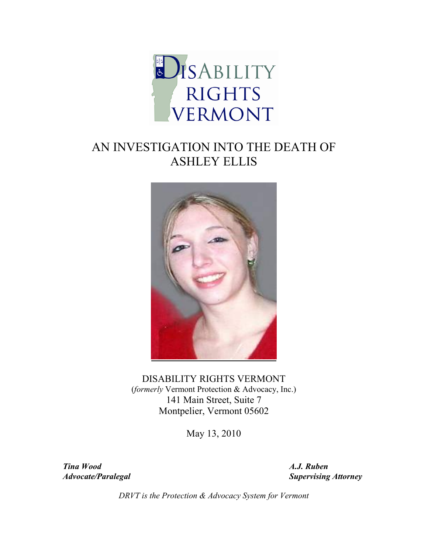

# AN INVESTIGATION INTO THE DEATH OF ASHLEY ELLIS



DISABILITY RIGHTS VERMONT (*formerly* Vermont Protection & Advocacy, Inc.) 141 Main Street, Suite 7 Montpelier, Vermont 05602

May 13, 2010

*Tina Wood A.J. Ruben* 

*Advocate/Paralegal* Supervising Attorney **Supervising Attorney** 

*DRVT is the Protection & Advocacy System for Vermont*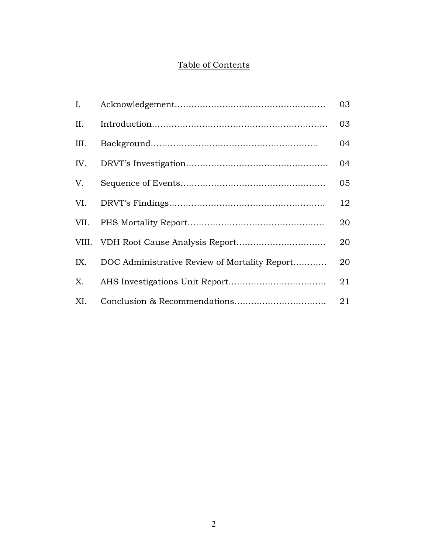# Table of Contents

| $\mathbf{I}$ . |                                               | 03 |
|----------------|-----------------------------------------------|----|
| II.            |                                               | 03 |
| III.           |                                               | 04 |
| IV.            |                                               | 04 |
| V.             |                                               | 05 |
|                |                                               | 12 |
|                |                                               | 20 |
|                |                                               | 20 |
| IX.            | DOC Administrative Review of Mortality Report | 20 |
|                |                                               | 21 |
| XI.            |                                               | 21 |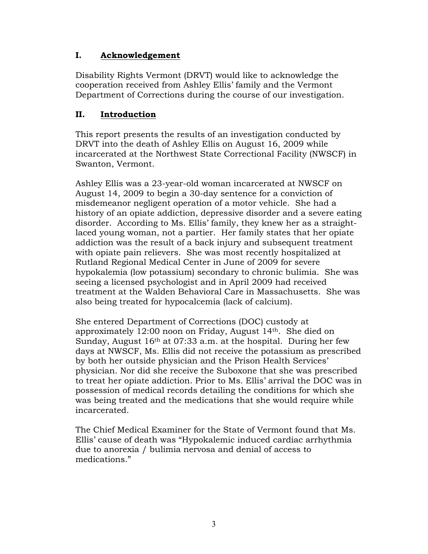# **I. Acknowledgement**

Disability Rights Vermont (DRVT) would like to acknowledge the cooperation received from Ashley Ellis' family and the Vermont Department of Corrections during the course of our investigation.

# **II. Introduction**

This report presents the results of an investigation conducted by DRVT into the death of Ashley Ellis on August 16, 2009 while incarcerated at the Northwest State Correctional Facility (NWSCF) in Swanton, Vermont.

Ashley Ellis was a 23-year-old woman incarcerated at NWSCF on August 14, 2009 to begin a 30-day sentence for a conviction of misdemeanor negligent operation of a motor vehicle. She had a history of an opiate addiction, depressive disorder and a severe eating disorder. According to Ms. Ellis' family, they knew her as a straightlaced young woman, not a partier. Her family states that her opiate addiction was the result of a back injury and subsequent treatment with opiate pain relievers. She was most recently hospitalized at Rutland Regional Medical Center in June of 2009 for severe hypokalemia (low potassium) secondary to chronic bulimia. She was seeing a licensed psychologist and in April 2009 had received treatment at the Walden Behavioral Care in Massachusetts. She was also being treated for hypocalcemia (lack of calcium).

She entered Department of Corrections (DOC) custody at approximately 12:00 noon on Friday, August 14th. She died on Sunday, August 16th at 07:33 a.m. at the hospital. During her few days at NWSCF, Ms. Ellis did not receive the potassium as prescribed by both her outside physician and the Prison Health Services' physician. Nor did she receive the Suboxone that she was prescribed to treat her opiate addiction. Prior to Ms. Ellis' arrival the DOC was in possession of medical records detailing the conditions for which she was being treated and the medications that she would require while incarcerated.

The Chief Medical Examiner for the State of Vermont found that Ms. Ellis' cause of death was "Hypokalemic induced cardiac arrhythmia due to anorexia / bulimia nervosa and denial of access to medications."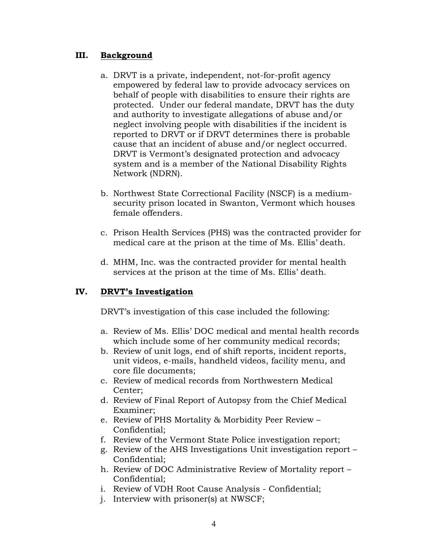#### **III. Background**

- a. DRVT is a private, independent, not-for-profit agency empowered by federal law to provide advocacy services on behalf of people with disabilities to ensure their rights are protected. Under our federal mandate, DRVT has the duty and authority to investigate allegations of abuse and/or neglect involving people with disabilities if the incident is reported to DRVT or if DRVT determines there is probable cause that an incident of abuse and/or neglect occurred. DRVT is Vermont's designated protection and advocacy system and is a member of the National Disability Rights Network (NDRN).
- b. Northwest State Correctional Facility (NSCF) is a mediumsecurity prison located in Swanton, Vermont which houses female offenders.
- c. Prison Health Services (PHS) was the contracted provider for medical care at the prison at the time of Ms. Ellis' death.
- d. MHM, Inc. was the contracted provider for mental health services at the prison at the time of Ms. Ellis' death.

# **IV. DRVT's Investigation**

DRVT's investigation of this case included the following:

- a. Review of Ms. Ellis' DOC medical and mental health records which include some of her community medical records;
- b. Review of unit logs, end of shift reports, incident reports, unit videos, e-mails, handheld videos, facility menu, and core file documents;
- c. Review of medical records from Northwestern Medical Center;
- d. Review of Final Report of Autopsy from the Chief Medical Examiner;
- e. Review of PHS Mortality & Morbidity Peer Review Confidential;
- f. Review of the Vermont State Police investigation report;
- g. Review of the AHS Investigations Unit investigation report Confidential;
- h. Review of DOC Administrative Review of Mortality report Confidential;
- i. Review of VDH Root Cause Analysis Confidential;
- j. Interview with prisoner(s) at NWSCF;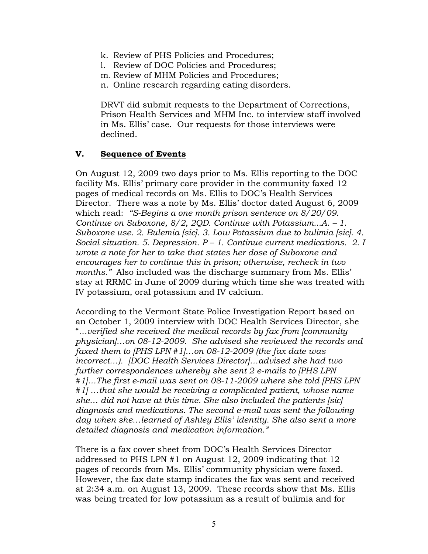- k. Review of PHS Policies and Procedures;
- l. Review of DOC Policies and Procedures;
- m. Review of MHM Policies and Procedures;
- n. Online research regarding eating disorders.

DRVT did submit requests to the Department of Corrections, Prison Health Services and MHM Inc. to interview staff involved in Ms. Ellis' case. Our requests for those interviews were declined.

# **V. Sequence of Events**

On August 12, 2009 two days prior to Ms. Ellis reporting to the DOC facility Ms. Ellis' primary care provider in the community faxed 12 pages of medical records on Ms. Ellis to DOC's Health Services Director. There was a note by Ms. Ellis' doctor dated August 6, 2009 which read: *"S-Begins a one month prison sentence on 8/20/09. Continue on Suboxone, 8/2, 2QD. Continue with Potassium...A. – 1. Suboxone use. 2. Bulemia [sic]. 3. Low Potassium due to bulimia [sic]. 4. Social situation. 5. Depression. P – 1. Continue current medications. 2. I wrote a note for her to take that states her dose of Suboxone and encourages her to continue this in prison; otherwise, recheck in two months."* Also included was the discharge summary from Ms. Ellis' stay at RRMC in June of 2009 during which time she was treated with IV potassium, oral potassium and IV calcium.

According to the Vermont State Police Investigation Report based on an October 1, 2009 interview with DOC Health Services Director, she "*…verified she received the medical records by fax from [community physician]…on 08-12-2009. She advised she reviewed the records and faxed them to [PHS LPN #1]…on 08-12-2009 (the fax date was incorrect…). [DOC Health Services Director]…advised she had two further correspondences whereby she sent 2 e-mails to [PHS LPN #1]…The first e-mail was sent on 08-11-2009 where she told [PHS LPN #1] …that she would be receiving a complicated patient, whose name she… did not have at this time. She also included the patients [sic] diagnosis and medications. The second e-mail was sent the following day when she…learned of Ashley Ellis' identity. She also sent a more detailed diagnosis and medication information."* 

There is a fax cover sheet from DOC's Health Services Director addressed to PHS LPN #1 on August 12, 2009 indicating that 12 pages of records from Ms. Ellis' community physician were faxed. However, the fax date stamp indicates the fax was sent and received at 2:34 a.m. on August 13, 2009. These records show that Ms. Ellis was being treated for low potassium as a result of bulimia and for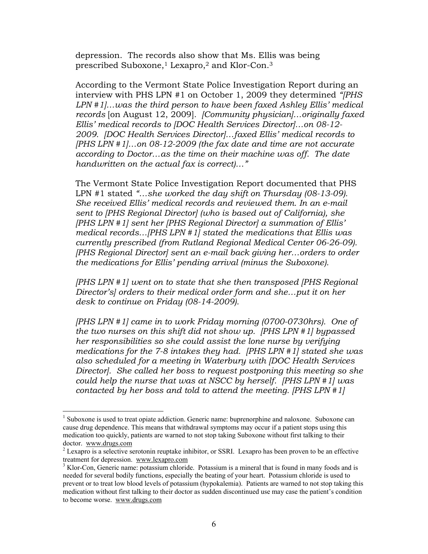depression. The records also show that Ms. Ellis was being prescribed Suboxone,<sup>1</sup> Lexapro,<sup>2</sup> and Klor-Con.<sup>3</sup>

According to the Vermont State Police Investigation Report during an interview with PHS LPN #1 on October 1, 2009 they determined *"[PHS LPN #1]…was the third person to have been faxed Ashley Ellis' medical records* [on August 12, 2009]*. [Community physician]…originally faxed Ellis' medical records to [DOC Health Services Director]…on 08-12- 2009. [DOC Health Services Director]…faxed Ellis' medical records to [PHS LPN #1]…on 08-12-2009 (the fax date and time are not accurate according to Doctor…as the time on their machine was off. The date handwritten on the actual fax is correct)…"* 

The Vermont State Police Investigation Report documented that PHS LPN #1 stated *"…she worked the day shift on Thursday (08-13-09). She received Ellis' medical records and reviewed them. In an e-mail sent to [PHS Regional Director] (who is based out of California), she [PHS LPN #1] sent her [PHS Regional Director] a summation of Ellis' medical records…[PHS LPN #1] stated the medications that Ellis was currently prescribed (from Rutland Regional Medical Center 06-26-09). [PHS Regional Director] sent an e-mail back giving her…orders to order the medications for Ellis' pending arrival (minus the Suboxone).* 

*[PHS LPN #1] went on to state that she then transposed [PHS Regional Director's] orders to their medical order form and she…put it on her desk to continue on Friday (08-14-2009).* 

*[PHS LPN #1] came in to work Friday morning (0700-0730hrs). One of the two nurses on this shift did not show up. [PHS LPN #1] bypassed her responsibilities so she could assist the lone nurse by verifying medications for the 7-8 intakes they had. [PHS LPN #1] stated she was also scheduled for a meeting in Waterbury with [DOC Health Services Director]. She called her boss to request postponing this meeting so she could help the nurse that was at NSCC by herself. [PHS LPN #1] was contacted by her boss and told to attend the meeting. [PHS LPN #1]* 

 $\overline{a}$ 

<sup>&</sup>lt;sup>1</sup> Suboxone is used to treat opiate addiction. Generic name: buprenorphine and naloxone. Suboxone can cause drug dependence. This means that withdrawal symptoms may occur if a patient stops using this medication too quickly, patients are warned to not stop taking Suboxone without first talking to their doctor. www.drugs.com

 $2^2$  Lexapro is a selective serotonin reuptake inhibitor, or SSRI. Lexapro has been proven to be an effective treatment for depression. www.lexapro.com

<sup>&</sup>lt;sup>3</sup> Klor-Con, Generic name: potassium chloride. Potassium is a mineral that is found in many foods and is needed for several bodily functions, especially the beating of your heart. Potassium chloride is used to prevent or to treat low blood levels of potassium (hypokalemia). Patients are warned to not stop taking this medication without first talking to their doctor as sudden discontinued use may case the patient's condition to become worse. www.drugs.com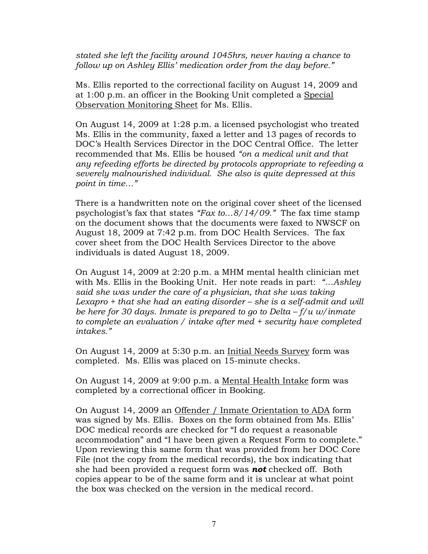*stated she left the facility around 1045hrs, never having a chance to follow up on Ashley Ellis' medication order from the day before."* 

Ms. Ellis reported to the correctional facility on August 14, 2009 and at 1:00 p.m. an officer in the Booking Unit completed a Special Observation Monitoring Sheet for Ms. Ellis.

On August 14, 2009 at 1:28 p.m. a licensed psychologist who treated Ms. Ellis in the community, faxed a letter and 13 pages of records to DOC's Health Services Director in the DOC Central Office. The letter recommended that Ms. Ellis be housed *"on a medical unit and that any refeeding efforts be directed by protocols appropriate to refeeding a severely malnourished individual. She also is quite depressed at this point in time…"* 

There is a handwritten note on the original cover sheet of the licensed psychologist's fax that states *"Fax to…8/14/09."* The fax time stamp on the document shows that the documents were faxed to NWSCF on August 18, 2009 at 7:42 p.m. from DOC Health Services. The fax cover sheet from the DOC Health Services Director to the above individuals is dated August 18, 2009.

On August 14, 2009 at 2:20 p.m. a MHM mental health clinician met with Ms. Ellis in the Booking Unit. Her note reads in part: *"…Ashley said she was under the care of a physician, that she was taking Lexapro + that she had an eating disorder – she is a self-admit and will be here for 30 days. Inmate is prepared to go to Delta – f/u w/inmate to complete an evaluation / intake after med + security have completed intakes."*

On August 14, 2009 at 5:30 p.m. an Initial Needs Survey form was completed. Ms. Ellis was placed on 15-minute checks.

On August 14, 2009 at 9:00 p.m. a Mental Health Intake form was completed by a correctional officer in Booking.

On August 14, 2009 an Offender / Inmate Orientation to ADA form was signed by Ms. Ellis. Boxes on the form obtained from Ms. Ellis' DOC medical records are checked for "I do request a reasonable accommodation" and "I have been given a Request Form to complete." Upon reviewing this same form that was provided from her DOC Core File (not the copy from the medical records), the box indicating that she had been provided a request form was *not* checked off. Both copies appear to be of the same form and it is unclear at what point the box was checked on the version in the medical record.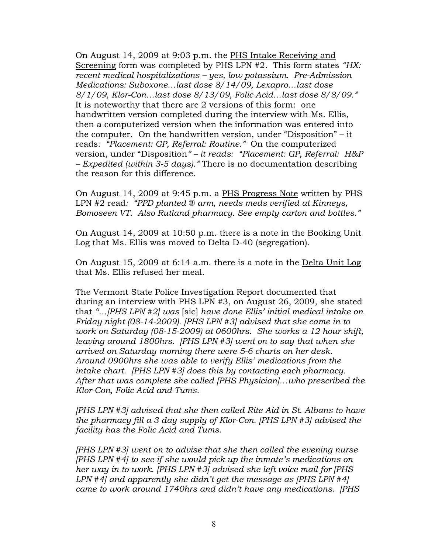On August 14, 2009 at 9:03 p.m. the PHS Intake Receiving and Screening form was completed by PHS LPN #2. This form states *"HX: recent medical hospitalizations – yes, low potassium. Pre-Admission Medications: Suboxone…last dose 8/14/09, Lexapro…last dose 8/1/09, Klor-Con…last dose 8/13/09, Folic Acid…last dose 8/8/09."* It is noteworthy that there are 2 versions of this form: one handwritten version completed during the interview with Ms. Ellis, then a computerized version when the information was entered into the computer. On the handwritten version, under "Disposition" – it reads*: "Placement: GP, Referral: Routine."* On the computerized version, under "Disposition*" – it reads: "Placement: GP, Referral: H&P – Expedited (within 3-5 days)."* There is no documentation describing the reason for this difference.

On August 14, 2009 at 9:45 p.m. a PHS Progress Note written by PHS LPN #2 read*: "PPD planted ® arm, needs meds verified at Kinneys, Bomoseen VT. Also Rutland pharmacy. See empty carton and bottles."* 

On August 14, 2009 at 10:50 p.m. there is a note in the Booking Unit Log that Ms. Ellis was moved to Delta D-40 (segregation).

On August 15, 2009 at 6:14 a.m. there is a note in the Delta Unit Log that Ms. Ellis refused her meal.

The Vermont State Police Investigation Report documented that during an interview with PHS LPN #3, on August 26, 2009, she stated that *"…[PHS LPN #2] was* [sic] *have done Ellis' initial medical intake on Friday night (08-14-2009). [PHS LPN #3] advised that she came in to work on Saturday (08-15-2009) at 0600hrs. She works a 12 hour shift, leaving around 1800hrs. [PHS LPN #3] went on to say that when she arrived on Saturday morning there were 5-6 charts on her desk. Around 0900hrs she was able to verify Ellis' medications from the intake chart. [PHS LPN #3] does this by contacting each pharmacy. After that was complete she called [PHS Physician]…who prescribed the Klor-Con, Folic Acid and Tums.* 

*[PHS LPN #3] advised that she then called Rite Aid in St. Albans to have the pharmacy fill a 3 day supply of Klor-Con. [PHS LPN #3] advised the facility has the Folic Acid and Tums.* 

*[PHS LPN #3] went on to advise that she then called the evening nurse [PHS LPN #4] to see if she would pick up the inmate's medications on her way in to work. [PHS LPN #3] advised she left voice mail for [PHS LPN #4] and apparently she didn't get the message as [PHS LPN #4] came to work around 1740hrs and didn't have any medications. [PHS*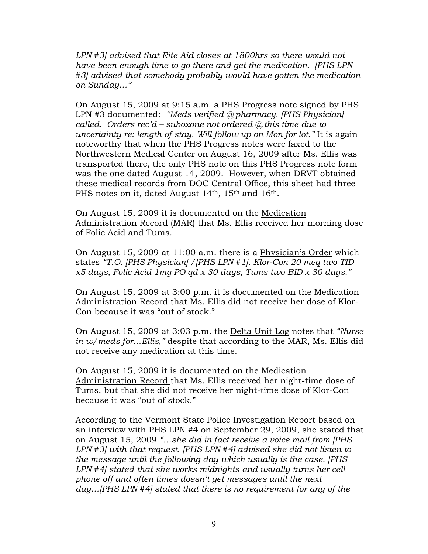*LPN #3] advised that Rite Aid closes at 1800hrs so there would not have been enough time to go there and get the medication. [PHS LPN #3] advised that somebody probably would have gotten the medication on Sunday…"* 

On August 15, 2009 at 9:15 a.m. a PHS Progress note signed by PHS LPN #3 documented: *"Meds verified @ pharmacy. [PHS Physician] called. Orders rec'd – suboxone not ordered @ this time due to uncertainty re: length of stay. Will follow up on Mon for lot."* It is again noteworthy that when the PHS Progress notes were faxed to the Northwestern Medical Center on August 16, 2009 after Ms. Ellis was transported there, the only PHS note on this PHS Progress note form was the one dated August 14, 2009. However, when DRVT obtained these medical records from DOC Central Office, this sheet had three PHS notes on it, dated August 14<sup>th</sup>, 15<sup>th</sup> and 16<sup>th</sup>.

On August 15, 2009 it is documented on the Medication Administration Record (MAR) that Ms. Ellis received her morning dose of Folic Acid and Tums.

On August 15, 2009 at 11:00 a.m. there is a Physician's Order which states *"T.O. [PHS Physician] /[PHS LPN #1]. Klor-Con 20 meq two TID x5 days, Folic Acid 1mg PO qd x 30 days, Tums two BID x 30 days."*

On August 15, 2009 at 3:00 p.m. it is documented on the Medication Administration Record that Ms. Ellis did not receive her dose of Klor-Con because it was "out of stock."

On August 15, 2009 at 3:03 p.m. the Delta Unit Log notes that *"Nurse in w/meds for…Ellis,"* despite that according to the MAR, Ms. Ellis did not receive any medication at this time.

On August 15, 2009 it is documented on the Medication Administration Record that Ms. Ellis received her night-time dose of Tums, but that she did not receive her night-time dose of Klor-Con because it was "out of stock."

According to the Vermont State Police Investigation Report based on an interview with PHS LPN #4 on September 29, 2009, she stated that on August 15, 2009 *"…she did in fact receive a voice mail from [PHS LPN #3] with that request. [PHS LPN #4] advised she did not listen to the message until the following day which usually is the case. [PHS LPN #4] stated that she works midnights and usually turns her cell phone off and often times doesn't get messages until the next day…[PHS LPN #4] stated that there is no requirement for any of the*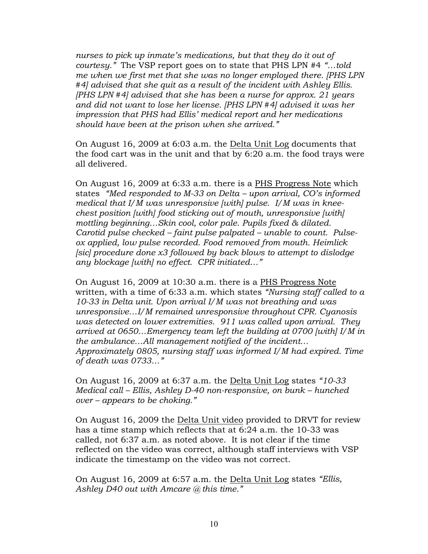*nurses to pick up inmate's medications, but that they do it out of courtesy."* The VSP report goes on to state that PHS LPN #4 *"…told me when we first met that she was no longer employed there. [PHS LPN #4] advised that she quit as a result of the incident with Ashley Ellis. [PHS LPN #4] advised that she has been a nurse for approx. 21 years and did not want to lose her license. [PHS LPN #4] advised it was her impression that PHS had Ellis' medical report and her medications should have been at the prison when she arrived."* 

On August 16, 2009 at 6:03 a.m. the Delta Unit Log documents that the food cart was in the unit and that by 6:20 a.m. the food trays were all delivered.

On August 16, 2009 at 6:33 a.m. there is a PHS Progress Note which states *"Med responded to M-33 on Delta – upon arrival, CO's informed medical that I/M was unresponsive [with] pulse. I/M was in kneechest position [with] food sticking out of mouth, unresponsive [with] mottling beginning…Skin cool, color pale. Pupils fixed & dilated. Carotid pulse checked – faint pulse palpated – unable to count. Pulseox applied, low pulse recorded. Food removed from mouth. Heimlick [sic] procedure done x3 followed by back blows to attempt to dislodge any blockage [with] no effect. CPR initiated…"*

On August 16, 2009 at 10:30 a.m. there is a PHS Progress Note written, with a time of 6:33 a.m. which states *"Nursing staff called to a 10-33 in Delta unit. Upon arrival I/M was not breathing and was unresponsive…I/M remained unresponsive throughout CPR. Cyanosis was detected on lower extremities. 911 was called upon arrival. They arrived at 0650…Emergency team left the building at 0700 [with] I/M in the ambulance…All management notified of the incident… Approximately 0805, nursing staff was informed I/M had expired. Time of death was 0733…"* 

On August 16, 2009 at 6:37 a.m. the Delta Unit Log states *"10-33 Medical call – Ellis, Ashley D-40 non-responsive, on bunk – hunched over – appears to be choking."* 

On August 16, 2009 the Delta Unit video provided to DRVT for review has a time stamp which reflects that at 6:24 a.m. the 10-33 was called, not 6:37 a.m. as noted above. It is not clear if the time reflected on the video was correct, although staff interviews with VSP indicate the timestamp on the video was not correct.

On August 16, 2009 at 6:57 a.m. the Delta Unit Log states *"Ellis, Ashley D40 out with Amcare @ this time."*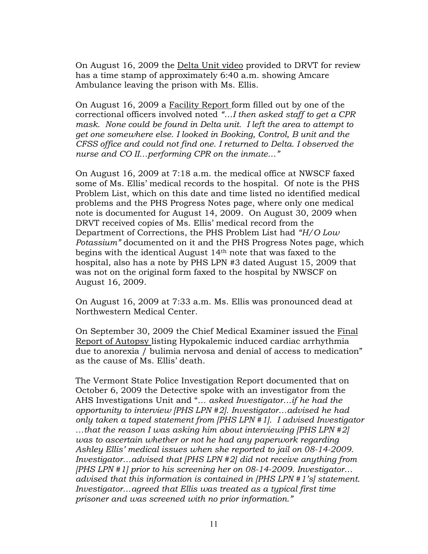On August 16, 2009 the Delta Unit video provided to DRVT for review has a time stamp of approximately 6:40 a.m. showing Amcare Ambulance leaving the prison with Ms. Ellis.

On August 16, 2009 a Facility Report form filled out by one of the correctional officers involved noted *"…I then asked staff to get a CPR mask. None could be found in Delta unit. I left the area to attempt to get one somewhere else. I looked in Booking, Control, B unit and the CFSS office and could not find one. I returned to Delta. I observed the nurse and CO II…performing CPR on the inmate…"* 

On August 16, 2009 at 7:18 a.m. the medical office at NWSCF faxed some of Ms. Ellis' medical records to the hospital. Of note is the PHS Problem List, which on this date and time listed no identified medical problems and the PHS Progress Notes page, where only one medical note is documented for August 14, 2009. On August 30, 2009 when DRVT received copies of Ms. Ellis' medical record from the Department of Corrections, the PHS Problem List had *"H/O Low Potassium"* documented on it and the PHS Progress Notes page, which begins with the identical August 14th note that was faxed to the hospital, also has a note by PHS LPN #3 dated August 15, 2009 that was not on the original form faxed to the hospital by NWSCF on August 16, 2009.

On August 16, 2009 at 7:33 a.m. Ms. Ellis was pronounced dead at Northwestern Medical Center.

On September 30, 2009 the Chief Medical Examiner issued the Final Report of Autopsy listing Hypokalemic induced cardiac arrhythmia due to anorexia / bulimia nervosa and denial of access to medication" as the cause of Ms. Ellis' death.

The Vermont State Police Investigation Report documented that on October 6, 2009 the Detective spoke with an investigator from the AHS Investigations Unit and "*… asked Investigator…if he had the opportunity to interview [PHS LPN #2]. Investigator…advised he had only taken a taped statement from [PHS LPN #1]. I advised Investigator …that the reason I was asking him about interviewing [PHS LPN #2] was to ascertain whether or not he had any paperwork regarding Ashley Ellis' medical issues when she reported to jail on 08-14-2009. Investigator…advised that [PHS LPN #2] did not receive anything from [PHS LPN #1] prior to his screening her on 08-14-2009. Investigator… advised that this information is contained in [PHS LPN #1's] statement. Investigator…agreed that Ellis was treated as a typical first time prisoner and was screened with no prior information."*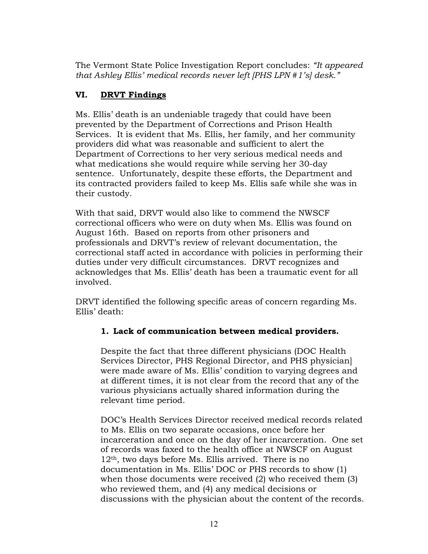The Vermont State Police Investigation Report concludes: *"It appeared that Ashley Ellis' medical records never left [PHS LPN #1's] desk."* 

# **VI. DRVT Findings**

Ms. Ellis' death is an undeniable tragedy that could have been prevented by the Department of Corrections and Prison Health Services. It is evident that Ms. Ellis, her family, and her community providers did what was reasonable and sufficient to alert the Department of Corrections to her very serious medical needs and what medications she would require while serving her 30-day sentence. Unfortunately, despite these efforts, the Department and its contracted providers failed to keep Ms. Ellis safe while she was in their custody.

With that said, DRVT would also like to commend the NWSCF correctional officers who were on duty when Ms. Ellis was found on August 16th. Based on reports from other prisoners and professionals and DRVT's review of relevant documentation, the correctional staff acted in accordance with policies in performing their duties under very difficult circumstances. DRVT recognizes and acknowledges that Ms. Ellis' death has been a traumatic event for all involved.

DRVT identified the following specific areas of concern regarding Ms. Ellis' death:

# **1. Lack of communication between medical providers.**

Despite the fact that three different physicians (DOC Health Services Director, PHS Regional Director, and PHS physician] were made aware of Ms. Ellis' condition to varying degrees and at different times, it is not clear from the record that any of the various physicians actually shared information during the relevant time period.

DOC's Health Services Director received medical records related to Ms. Ellis on two separate occasions, once before her incarceration and once on the day of her incarceration. One set of records was faxed to the health office at NWSCF on August 12th, two days before Ms. Ellis arrived. There is no documentation in Ms. Ellis' DOC or PHS records to show (1) when those documents were received (2) who received them (3) who reviewed them, and (4) any medical decisions or discussions with the physician about the content of the records.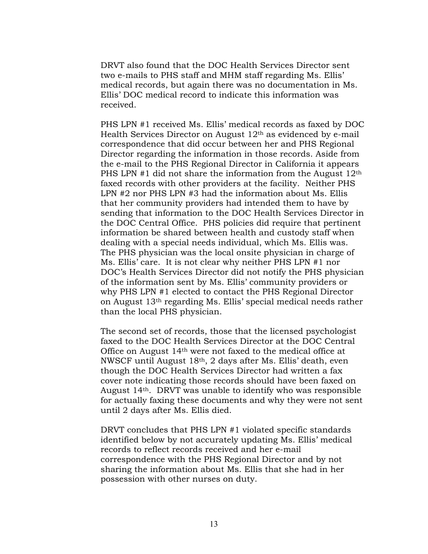DRVT also found that the DOC Health Services Director sent two e-mails to PHS staff and MHM staff regarding Ms. Ellis' medical records, but again there was no documentation in Ms. Ellis' DOC medical record to indicate this information was received.

PHS LPN #1 received Ms. Ellis' medical records as faxed by DOC Health Services Director on August  $12<sup>th</sup>$  as evidenced by e-mail correspondence that did occur between her and PHS Regional Director regarding the information in those records. Aside from the e-mail to the PHS Regional Director in California it appears PHS LPN  $#1$  did not share the information from the August  $12<sup>th</sup>$ faxed records with other providers at the facility. Neither PHS LPN #2 nor PHS LPN #3 had the information about Ms. Ellis that her community providers had intended them to have by sending that information to the DOC Health Services Director in the DOC Central Office. PHS policies did require that pertinent information be shared between health and custody staff when dealing with a special needs individual, which Ms. Ellis was. The PHS physician was the local onsite physician in charge of Ms. Ellis' care. It is not clear why neither PHS LPN #1 nor DOC's Health Services Director did not notify the PHS physician of the information sent by Ms. Ellis' community providers or why PHS LPN #1 elected to contact the PHS Regional Director on August 13th regarding Ms. Ellis' special medical needs rather than the local PHS physician.

The second set of records, those that the licensed psychologist faxed to the DOC Health Services Director at the DOC Central Office on August 14th were not faxed to the medical office at NWSCF until August 18th, 2 days after Ms. Ellis' death, even though the DOC Health Services Director had written a fax cover note indicating those records should have been faxed on August 14th. DRVT was unable to identify who was responsible for actually faxing these documents and why they were not sent until 2 days after Ms. Ellis died.

DRVT concludes that PHS LPN #1 violated specific standards identified below by not accurately updating Ms. Ellis' medical records to reflect records received and her e-mail correspondence with the PHS Regional Director and by not sharing the information about Ms. Ellis that she had in her possession with other nurses on duty.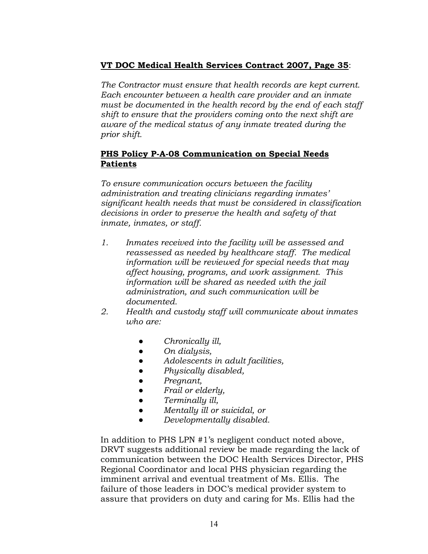# **VT DOC Medical Health Services Contract 2007, Page 35**:

*The Contractor must ensure that health records are kept current. Each encounter between a health care provider and an inmate must be documented in the health record by the end of each staff shift to ensure that the providers coming onto the next shift are aware of the medical status of any inmate treated during the prior shift.* 

## **PHS Policy P-A-08 Communication on Special Needs Patients**

*To ensure communication occurs between the facility administration and treating clinicians regarding inmates' significant health needs that must be considered in classification decisions in order to preserve the health and safety of that inmate, inmates, or staff.* 

- *1. Inmates received into the facility will be assessed and reassessed as needed by healthcare staff. The medical information will be reviewed for special needs that may affect housing, programs, and work assignment. This information will be shared as needed with the jail administration, and such communication will be documented.*
- *2. Health and custody staff will communicate about inmates who are:* 
	- *● Chronically ill,*
	- *● On dialysis,*
	- *● Adolescents in adult facilities,*
	- *● Physically disabled,*
	- *● Pregnant,*
	- *● Frail or elderly,*
	- *● Terminally ill,*
	- *● Mentally ill or suicidal, or*
	- *● Developmentally disabled.*

In addition to PHS LPN #1's negligent conduct noted above, DRVT suggests additional review be made regarding the lack of communication between the DOC Health Services Director, PHS Regional Coordinator and local PHS physician regarding the imminent arrival and eventual treatment of Ms. Ellis. The failure of those leaders in DOC's medical provider system to assure that providers on duty and caring for Ms. Ellis had the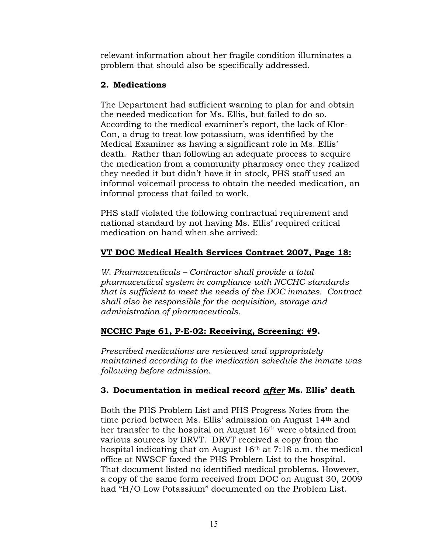relevant information about her fragile condition illuminates a problem that should also be specifically addressed.

# **2. Medications**

The Department had sufficient warning to plan for and obtain the needed medication for Ms. Ellis, but failed to do so. According to the medical examiner's report, the lack of Klor-Con, a drug to treat low potassium, was identified by the Medical Examiner as having a significant role in Ms. Ellis' death. Rather than following an adequate process to acquire the medication from a community pharmacy once they realized they needed it but didn't have it in stock, PHS staff used an informal voicemail process to obtain the needed medication, an informal process that failed to work.

PHS staff violated the following contractual requirement and national standard by not having Ms. Ellis' required critical medication on hand when she arrived:

# **VT DOC Medical Health Services Contract 2007, Page 18:**

*W. Pharmaceuticals – Contractor shall provide a total pharmaceutical system in compliance with NCCHC standards that is sufficient to meet the needs of the DOC inmates. Contract shall also be responsible for the acquisition, storage and administration of pharmaceuticals.* 

# **NCCHC Page 61, P-E-02: Receiving, Screening: #9.**

*Prescribed medications are reviewed and appropriately maintained according to the medication schedule the inmate was following before admission.* 

# **3. Documentation in medical record** *after* **Ms. Ellis' death**

Both the PHS Problem List and PHS Progress Notes from the time period between Ms. Ellis' admission on August 14th and her transfer to the hospital on August 16<sup>th</sup> were obtained from various sources by DRVT. DRVT received a copy from the hospital indicating that on August 16th at 7:18 a.m. the medical office at NWSCF faxed the PHS Problem List to the hospital. That document listed no identified medical problems. However, a copy of the same form received from DOC on August 30, 2009 had "H/O Low Potassium" documented on the Problem List.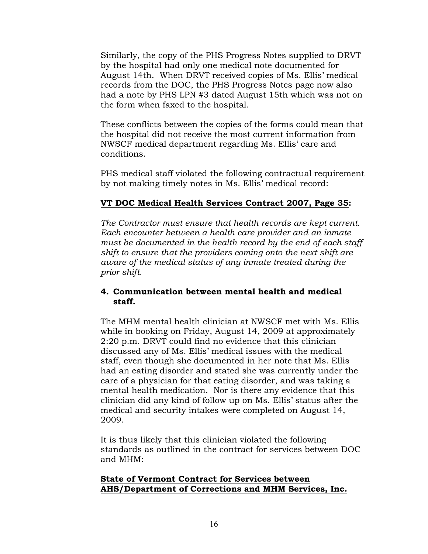Similarly, the copy of the PHS Progress Notes supplied to DRVT by the hospital had only one medical note documented for August 14th. When DRVT received copies of Ms. Ellis' medical records from the DOC, the PHS Progress Notes page now also had a note by PHS LPN #3 dated August 15th which was not on the form when faxed to the hospital.

These conflicts between the copies of the forms could mean that the hospital did not receive the most current information from NWSCF medical department regarding Ms. Ellis' care and conditions.

PHS medical staff violated the following contractual requirement by not making timely notes in Ms. Ellis' medical record:

# **VT DOC Medical Health Services Contract 2007, Page 35:**

*The Contractor must ensure that health records are kept current. Each encounter between a health care provider and an inmate must be documented in the health record by the end of each staff shift to ensure that the providers coming onto the next shift are aware of the medical status of any inmate treated during the prior shift.* 

#### **4. Communication between mental health and medical staff.**

The MHM mental health clinician at NWSCF met with Ms. Ellis while in booking on Friday, August 14, 2009 at approximately 2:20 p.m. DRVT could find no evidence that this clinician discussed any of Ms. Ellis' medical issues with the medical staff, even though she documented in her note that Ms. Ellis had an eating disorder and stated she was currently under the care of a physician for that eating disorder, and was taking a mental health medication. Nor is there any evidence that this clinician did any kind of follow up on Ms. Ellis' status after the medical and security intakes were completed on August 14, 2009.

It is thus likely that this clinician violated the following standards as outlined in the contract for services between DOC and MHM:

#### **State of Vermont Contract for Services between AHS/Department of Corrections and MHM Services, Inc.**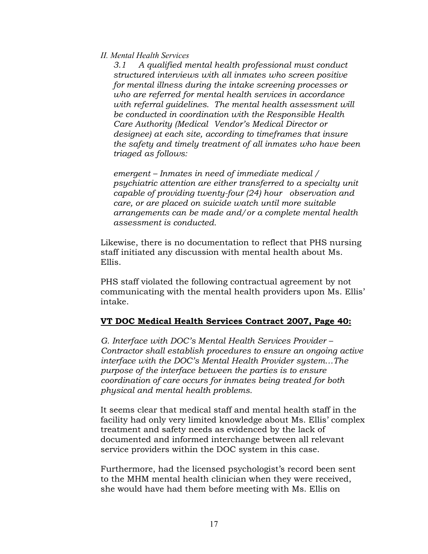#### *II. Mental Health Services*

 *3.1 A qualified mental health professional must conduct structured interviews with all inmates who screen positive for mental illness during the intake screening processes or who are referred for mental health services in accordance with referral guidelines. The mental health assessment will be conducted in coordination with the Responsible Health Care Authority (Medical Vendor's Medical Director or designee) at each site, according to timeframes that insure the safety and timely treatment of all inmates who have been triaged as follows:* 

 *emergent – Inmates in need of immediate medical / psychiatric attention are either transferred to a specialty unit capable of providing twenty-four (24) hour observation and care, or are placed on suicide watch until more suitable arrangements can be made and/or a complete mental health assessment is conducted.* 

Likewise, there is no documentation to reflect that PHS nursing staff initiated any discussion with mental health about Ms. Ellis.

PHS staff violated the following contractual agreement by not communicating with the mental health providers upon Ms. Ellis' intake.

#### **VT DOC Medical Health Services Contract 2007, Page 40:**

*G. Interface with DOC's Mental Health Services Provider – Contractor shall establish procedures to ensure an ongoing active interface with the DOC's Mental Health Provider system…The purpose of the interface between the parties is to ensure coordination of care occurs for inmates being treated for both physical and mental health problems.* 

It seems clear that medical staff and mental health staff in the facility had only very limited knowledge about Ms. Ellis' complex treatment and safety needs as evidenced by the lack of documented and informed interchange between all relevant service providers within the DOC system in this case.

Furthermore, had the licensed psychologist's record been sent to the MHM mental health clinician when they were received, she would have had them before meeting with Ms. Ellis on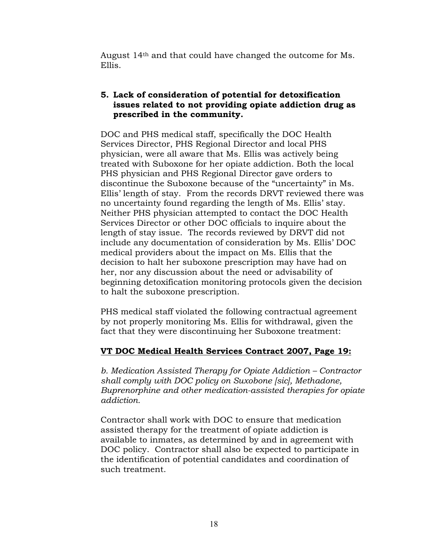August 14th and that could have changed the outcome for Ms. Ellis.

## **5. Lack of consideration of potential for detoxification issues related to not providing opiate addiction drug as prescribed in the community.**

DOC and PHS medical staff, specifically the DOC Health Services Director, PHS Regional Director and local PHS physician, were all aware that Ms. Ellis was actively being treated with Suboxone for her opiate addiction. Both the local PHS physician and PHS Regional Director gave orders to discontinue the Suboxone because of the "uncertainty" in Ms. Ellis' length of stay. From the records DRVT reviewed there was no uncertainty found regarding the length of Ms. Ellis' stay. Neither PHS physician attempted to contact the DOC Health Services Director or other DOC officials to inquire about the length of stay issue. The records reviewed by DRVT did not include any documentation of consideration by Ms. Ellis' DOC medical providers about the impact on Ms. Ellis that the decision to halt her suboxone prescription may have had on her, nor any discussion about the need or advisability of beginning detoxification monitoring protocols given the decision to halt the suboxone prescription.

PHS medical staff violated the following contractual agreement by not properly monitoring Ms. Ellis for withdrawal, given the fact that they were discontinuing her Suboxone treatment:

# **VT DOC Medical Health Services Contract 2007, Page 19:**

*b. Medication Assisted Therapy for Opiate Addiction – Contractor shall comply with DOC policy on Suxobone [sic], Methadone, Buprenorphine and other medication-assisted therapies for opiate addiction.* 

Contractor shall work with DOC to ensure that medication assisted therapy for the treatment of opiate addiction is available to inmates, as determined by and in agreement with DOC policy. Contractor shall also be expected to participate in the identification of potential candidates and coordination of such treatment.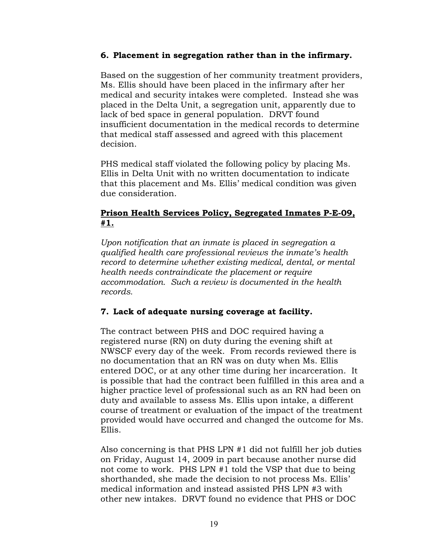#### **6. Placement in segregation rather than in the infirmary.**

Based on the suggestion of her community treatment providers, Ms. Ellis should have been placed in the infirmary after her medical and security intakes were completed. Instead she was placed in the Delta Unit, a segregation unit, apparently due to lack of bed space in general population. DRVT found insufficient documentation in the medical records to determine that medical staff assessed and agreed with this placement decision.

PHS medical staff violated the following policy by placing Ms. Ellis in Delta Unit with no written documentation to indicate that this placement and Ms. Ellis' medical condition was given due consideration.

## **Prison Health Services Policy, Segregated Inmates P-E-09, #1.**

*Upon notification that an inmate is placed in segregation a qualified health care professional reviews the inmate's health record to determine whether existing medical, dental, or mental health needs contraindicate the placement or require accommodation. Such a review is documented in the health records.* 

# **7. Lack of adequate nursing coverage at facility.**

The contract between PHS and DOC required having a registered nurse (RN) on duty during the evening shift at NWSCF every day of the week. From records reviewed there is no documentation that an RN was on duty when Ms. Ellis entered DOC, or at any other time during her incarceration. It is possible that had the contract been fulfilled in this area and a higher practice level of professional such as an RN had been on duty and available to assess Ms. Ellis upon intake, a different course of treatment or evaluation of the impact of the treatment provided would have occurred and changed the outcome for Ms. Ellis.

Also concerning is that PHS LPN #1 did not fulfill her job duties on Friday, August 14, 2009 in part because another nurse did not come to work. PHS LPN #1 told the VSP that due to being shorthanded, she made the decision to not process Ms. Ellis' medical information and instead assisted PHS LPN #3 with other new intakes. DRVT found no evidence that PHS or DOC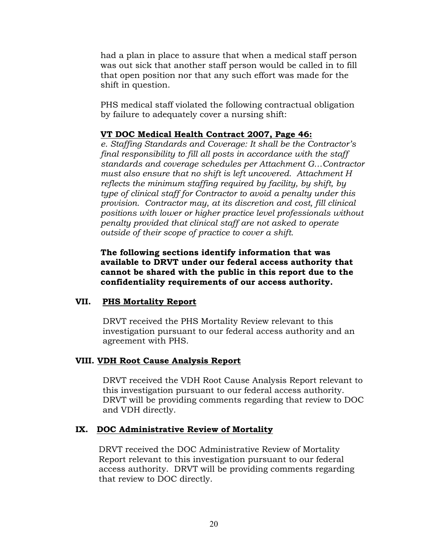had a plan in place to assure that when a medical staff person was out sick that another staff person would be called in to fill that open position nor that any such effort was made for the shift in question.

PHS medical staff violated the following contractual obligation by failure to adequately cover a nursing shift:

#### **VT DOC Medical Health Contract 2007, Page 46:**

*e. Staffing Standards and Coverage: It shall be the Contractor's final responsibility to fill all posts in accordance with the staff standards and coverage schedules per Attachment G…Contractor must also ensure that no shift is left uncovered. Attachment H reflects the minimum staffing required by facility, by shift, by type of clinical staff for Contractor to avoid a penalty under this provision. Contractor may, at its discretion and cost, fill clinical positions with lower or higher practice level professionals without penalty provided that clinical staff are not asked to operate outside of their scope of practice to cover a shift.* 

**The following sections identify information that was available to DRVT under our federal access authority that cannot be shared with the public in this report due to the confidentiality requirements of our access authority.** 

# **VII. PHS Mortality Report**

DRVT received the PHS Mortality Review relevant to this investigation pursuant to our federal access authority and an agreement with PHS.

#### **VIII. VDH Root Cause Analysis Report**

DRVT received the VDH Root Cause Analysis Report relevant to this investigation pursuant to our federal access authority. DRVT will be providing comments regarding that review to DOC and VDH directly.

# **IX. DOC Administrative Review of Mortality**

 DRVT received the DOC Administrative Review of Mortality Report relevant to this investigation pursuant to our federal access authority. DRVT will be providing comments regarding that review to DOC directly.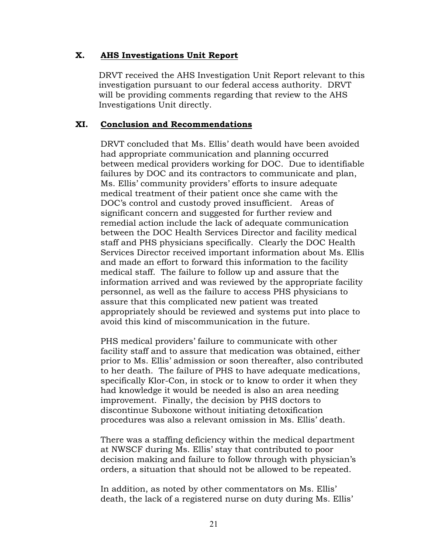#### **X. AHS Investigations Unit Report**

 DRVT received the AHS Investigation Unit Report relevant to this investigation pursuant to our federal access authority. DRVT will be providing comments regarding that review to the AHS Investigations Unit directly.

#### **XI. Conclusion and Recommendations**

DRVT concluded that Ms. Ellis' death would have been avoided had appropriate communication and planning occurred between medical providers working for DOC. Due to identifiable failures by DOC and its contractors to communicate and plan, Ms. Ellis' community providers' efforts to insure adequate medical treatment of their patient once she came with the DOC's control and custody proved insufficient. Areas of significant concern and suggested for further review and remedial action include the lack of adequate communication between the DOC Health Services Director and facility medical staff and PHS physicians specifically. Clearly the DOC Health Services Director received important information about Ms. Ellis and made an effort to forward this information to the facility medical staff. The failure to follow up and assure that the information arrived and was reviewed by the appropriate facility personnel, as well as the failure to access PHS physicians to assure that this complicated new patient was treated appropriately should be reviewed and systems put into place to avoid this kind of miscommunication in the future.

PHS medical providers' failure to communicate with other facility staff and to assure that medication was obtained, either prior to Ms. Ellis' admission or soon thereafter, also contributed to her death. The failure of PHS to have adequate medications, specifically Klor-Con, in stock or to know to order it when they had knowledge it would be needed is also an area needing improvement. Finally, the decision by PHS doctors to discontinue Suboxone without initiating detoxification procedures was also a relevant omission in Ms. Ellis' death.

There was a staffing deficiency within the medical department at NWSCF during Ms. Ellis' stay that contributed to poor decision making and failure to follow through with physician's orders, a situation that should not be allowed to be repeated.

In addition, as noted by other commentators on Ms. Ellis' death, the lack of a registered nurse on duty during Ms. Ellis'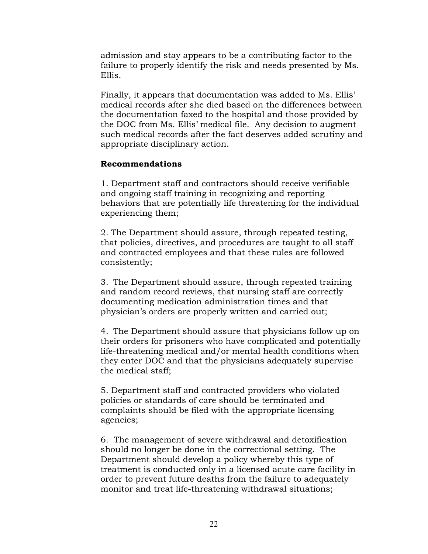admission and stay appears to be a contributing factor to the failure to properly identify the risk and needs presented by Ms. Ellis.

Finally, it appears that documentation was added to Ms. Ellis' medical records after she died based on the differences between the documentation faxed to the hospital and those provided by the DOC from Ms. Ellis' medical file. Any decision to augment such medical records after the fact deserves added scrutiny and appropriate disciplinary action.

#### **Recommendations**

1. Department staff and contractors should receive verifiable and ongoing staff training in recognizing and reporting behaviors that are potentially life threatening for the individual experiencing them;

2. The Department should assure, through repeated testing, that policies, directives, and procedures are taught to all staff and contracted employees and that these rules are followed consistently;

3. The Department should assure, through repeated training and random record reviews, that nursing staff are correctly documenting medication administration times and that physician's orders are properly written and carried out;

4. The Department should assure that physicians follow up on their orders for prisoners who have complicated and potentially life-threatening medical and/or mental health conditions when they enter DOC and that the physicians adequately supervise the medical staff;

5. Department staff and contracted providers who violated policies or standards of care should be terminated and complaints should be filed with the appropriate licensing agencies;

6. The management of severe withdrawal and detoxification should no longer be done in the correctional setting. The Department should develop a policy whereby this type of treatment is conducted only in a licensed acute care facility in order to prevent future deaths from the failure to adequately monitor and treat life-threatening withdrawal situations;